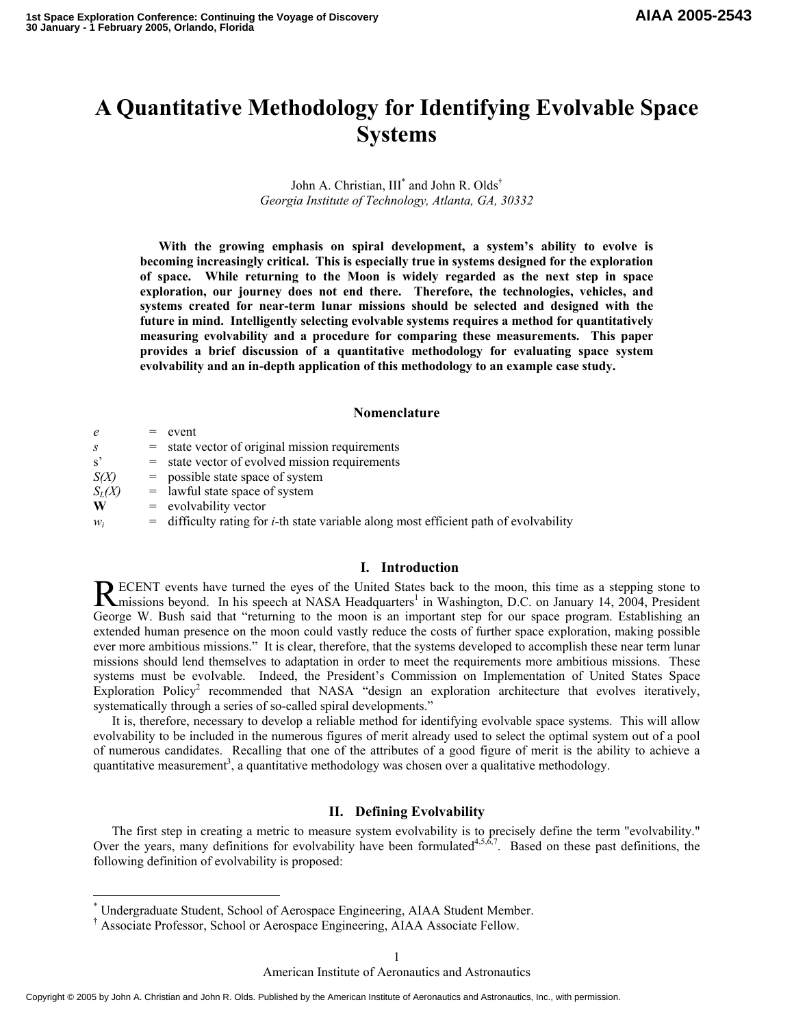# **A Quantitative Methodology for Identifying Evolvable Space Systems**

John A. Christian, III<sup>\*</sup> and John R. Olds<sup>†</sup> *Georgia Institute of Technology, Atlanta, GA, 30332* 

**With the growing emphasis on spiral development, a system's ability to evolve is becoming increasingly critical. This is especially true in systems designed for the exploration of space. While returning to the Moon is widely regarded as the next step in space exploration, our journey does not end there. Therefore, the technologies, vehicles, and systems created for near-term lunar missions should be selected and designed with the future in mind. Intelligently selecting evolvable systems requires a method for quantitatively measuring evolvability and a procedure for comparing these measurements. This paper provides a brief discussion of a quantitative methodology for evaluating space system evolvability and an in-depth application of this methodology to an example case study.** 

#### **Nomenclature**

 $e =$  event *s* = state vector of original mission requirements s' = state vector of evolved mission requirements *S(X)* = possible state space of system  $S_L(X)$  = lawful state space of system **W** = evolvability vector  $w_i$  = difficulty rating for *i*-th state variable along most efficient path of evolvability

#### **I. Introduction**

ECENT events have turned the eyes of the United States back to the moon, this time as a stepping stone to RECENT events have turned the eyes of the United States back to the moon, this time as a stepping stone to missions beyond. In his speech at NASA Headquarters<sup>1</sup> in Washington, D.C. on January 14, 2004, President George W. Bush said that "returning to the moon is an important step for our space program. Establishing an extended human presence on the moon could vastly reduce the costs of further space exploration, making possible ever more ambitious missions." It is clear, therefore, that the systems developed to accomplish these near term lunar missions should lend themselves to adaptation in order to meet the requirements more ambitious missions. These systems must be evolvable. Indeed, the President's Commission on Implementation of United States Space Exploration Policy<sup>2</sup> recommended that NASA "design an exploration architecture that evolves iteratively, systematically through a series of so-called spiral developments."

It is, therefore, necessary to develop a reliable method for identifying evolvable space systems. This will allow evolvability to be included in the numerous figures of merit already used to select the optimal system out of a pool of numerous candidates. Recalling that one of the attributes of a good figure of merit is the ability to achieve a quantitative measurement<sup>3</sup>, a quantitative methodology was chosen over a qualitative methodology.

# **II. Defining Evolvability**

The first step in creating a metric to measure system evolvability is to precisely define the term "evolvability." Over the years, many definitions for evolvability have been formulated<sup>4,5,6,7</sup>. Based on these past definitions, the following definition of evolvability is proposed:

 $\overline{a}$ 

<sup>\*</sup> Undergraduate Student, School of Aerospace Engineering, AIAA Student Member.

<sup>†</sup> Associate Professor, School or Aerospace Engineering, AIAA Associate Fellow.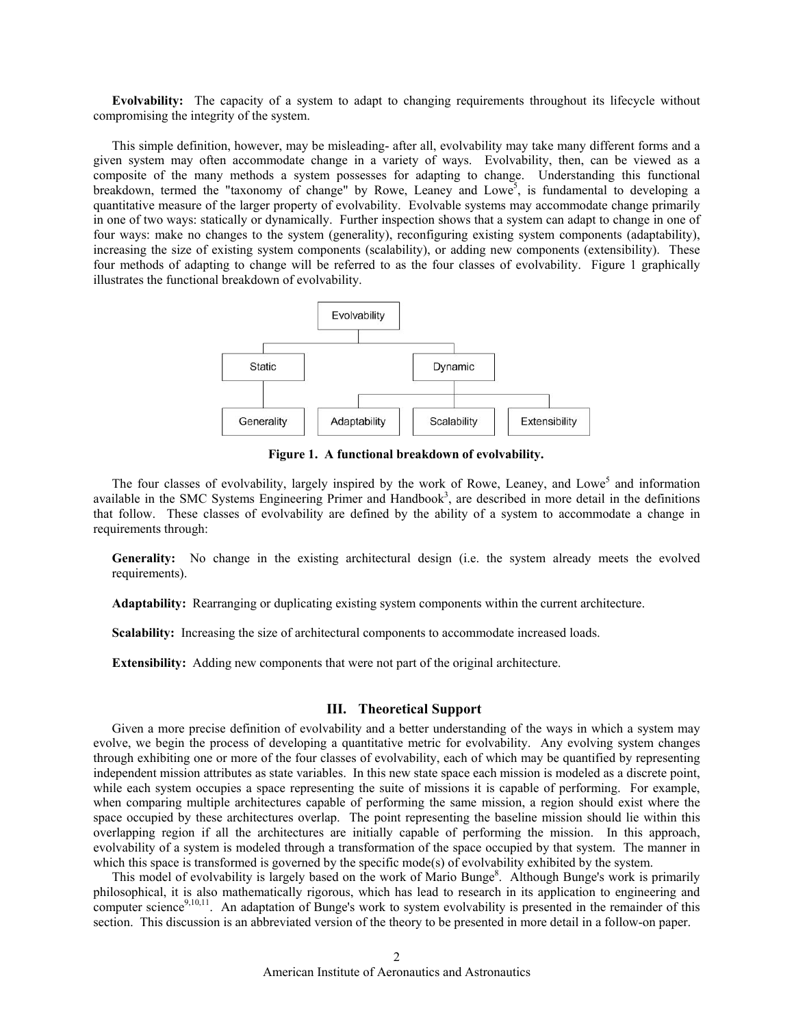**Evolvability:** The capacity of a system to adapt to changing requirements throughout its lifecycle without compromising the integrity of the system.

This simple definition, however, may be misleading- after all, evolvability may take many different forms and a given system may often accommodate change in a variety of ways. Evolvability, then, can be viewed as a composite of the many methods a system possesses for adapting to change. Understanding this functional breakdown, termed the "taxonomy of change" by Rowe, Leaney and Lowe<sup>5</sup>, is fundamental to developing a quantitative measure of the larger property of evolvability. Evolvable systems may accommodate change primarily in one of two ways: statically or dynamically. Further inspection shows that a system can adapt to change in one of four ways: make no changes to the system (generality), reconfiguring existing system components (adaptability), increasing the size of existing system components (scalability), or adding new components (extensibility). These four methods of adapting to change will be referred to as the four classes of evolvability. Figure 1 graphically illustrates the functional breakdown of evolvability.



**Figure 1. A functional breakdown of evolvability.** 

The four classes of evolvability, largely inspired by the work of Rowe, Leaney, and Lowe<sup>5</sup> and information available in the SMC Systems Engineering Primer and Handbook<sup>3</sup>, are described in more detail in the definitions that follow. These classes of evolvability are defined by the ability of a system to accommodate a change in requirements through:

**Generality:** No change in the existing architectural design (i.e. the system already meets the evolved requirements).

**Adaptability:** Rearranging or duplicating existing system components within the current architecture.

**Scalability:** Increasing the size of architectural components to accommodate increased loads.

**Extensibility:** Adding new components that were not part of the original architecture.

## **III. Theoretical Support**

Given a more precise definition of evolvability and a better understanding of the ways in which a system may evolve, we begin the process of developing a quantitative metric for evolvability. Any evolving system changes through exhibiting one or more of the four classes of evolvability, each of which may be quantified by representing independent mission attributes as state variables. In this new state space each mission is modeled as a discrete point, while each system occupies a space representing the suite of missions it is capable of performing. For example, when comparing multiple architectures capable of performing the same mission, a region should exist where the space occupied by these architectures overlap. The point representing the baseline mission should lie within this overlapping region if all the architectures are initially capable of performing the mission. In this approach, evolvability of a system is modeled through a transformation of the space occupied by that system. The manner in which this space is transformed is governed by the specific mode(s) of evolvability exhibited by the system.

This model of evolvability is largely based on the work of Mario Bunge<sup>8</sup>. Although Bunge's work is primarily philosophical, it is also mathematically rigorous, which has lead to research in its application to engineering and computer science<sup>9,10,11</sup>. An adaptation of Bunge's work to system evolvability is presented in the remainder of this section. This discussion is an abbreviated version of the theory to be presented in more detail in a follow-on paper.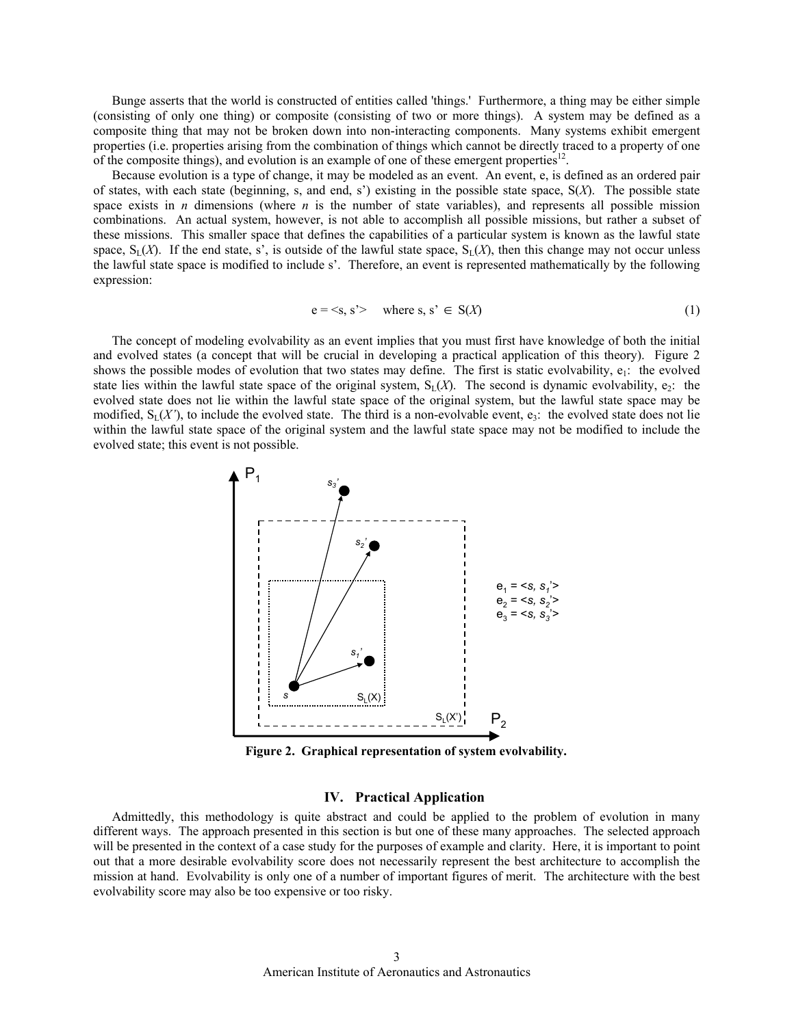Bunge asserts that the world is constructed of entities called 'things.' Furthermore, a thing may be either simple (consisting of only one thing) or composite (consisting of two or more things). A system may be defined as a composite thing that may not be broken down into non-interacting components. Many systems exhibit emergent properties (i.e. properties arising from the combination of things which cannot be directly traced to a property of one of the composite things), and evolution is an example of one of these emergent properties<sup>12</sup>.

Because evolution is a type of change, it may be modeled as an event. An event, e, is defined as an ordered pair of states, with each state (beginning, s, and end, s') existing in the possible state space, S(*X*). The possible state space exists in *n* dimensions (where *n* is the number of state variables), and represents all possible mission combinations. An actual system, however, is not able to accomplish all possible missions, but rather a subset of these missions. This smaller space that defines the capabilities of a particular system is known as the lawful state space,  $S_L(X)$ . If the end state, s', is outside of the lawful state space,  $S_L(X)$ , then this change may not occur unless the lawful state space is modified to include s'. Therefore, an event is represented mathematically by the following expression:

$$
e = \langle s, s' \rangle \quad \text{where } s, s' \in S(X) \tag{1}
$$

The concept of modeling evolvability as an event implies that you must first have knowledge of both the initial and evolved states (a concept that will be crucial in developing a practical application of this theory). Figure 2 shows the possible modes of evolution that two states may define. The first is static evolvability,  $e_1$ : the evolved state lies within the lawful state space of the original system,  $S<sub>L</sub>(X)$ . The second is dynamic evolvability,  $e<sub>2</sub>$ : the evolved state does not lie within the lawful state space of the original system, but the lawful state space may be modified,  $S_L(X')$ , to include the evolved state. The third is a non-evolvable event,  $e_3$ : the evolved state does not lie within the lawful state space of the original system and the lawful state space may not be modified to include the evolved state; this event is not possible.



**Figure 2. Graphical representation of system evolvability.** 

#### **IV. Practical Application**

Admittedly, this methodology is quite abstract and could be applied to the problem of evolution in many different ways. The approach presented in this section is but one of these many approaches. The selected approach will be presented in the context of a case study for the purposes of example and clarity. Here, it is important to point out that a more desirable evolvability score does not necessarily represent the best architecture to accomplish the mission at hand. Evolvability is only one of a number of important figures of merit. The architecture with the best evolvability score may also be too expensive or too risky.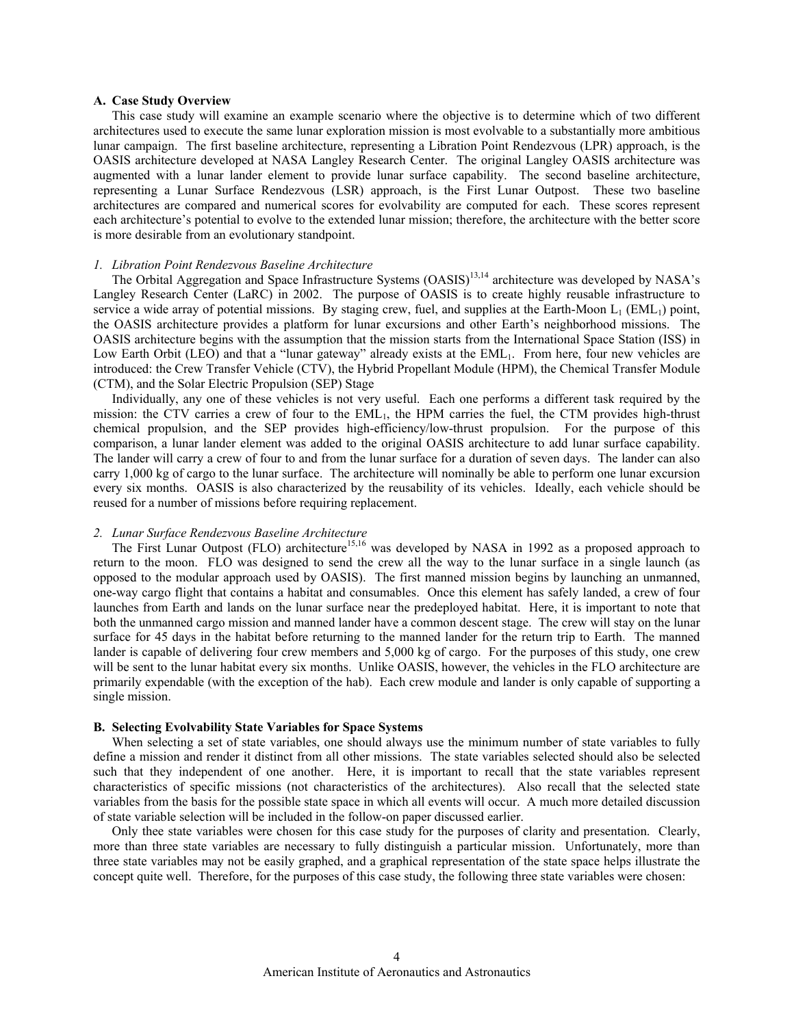#### **A. Case Study Overview**

This case study will examine an example scenario where the objective is to determine which of two different architectures used to execute the same lunar exploration mission is most evolvable to a substantially more ambitious lunar campaign. The first baseline architecture, representing a Libration Point Rendezvous (LPR) approach, is the OASIS architecture developed at NASA Langley Research Center. The original Langley OASIS architecture was augmented with a lunar lander element to provide lunar surface capability. The second baseline architecture, representing a Lunar Surface Rendezvous (LSR) approach, is the First Lunar Outpost. These two baseline architectures are compared and numerical scores for evolvability are computed for each. These scores represent each architecture's potential to evolve to the extended lunar mission; therefore, the architecture with the better score is more desirable from an evolutionary standpoint.

## *1. Libration Point Rendezvous Baseline Architecture*

The Orbital Aggregation and Space Infrastructure Systems (OASIS)<sup>13,14</sup> architecture was developed by NASA's Langley Research Center (LaRC) in 2002. The purpose of OASIS is to create highly reusable infrastructure to service a wide array of potential missions. By staging crew, fuel, and supplies at the Earth-Moon  $L_1$  (EML<sub>1</sub>) point, the OASIS architecture provides a platform for lunar excursions and other Earth's neighborhood missions. The OASIS architecture begins with the assumption that the mission starts from the International Space Station (ISS) in Low Earth Orbit (LEO) and that a "lunar gateway" already exists at the EML<sub>1</sub>. From here, four new vehicles are introduced: the Crew Transfer Vehicle (CTV), the Hybrid Propellant Module (HPM), the Chemical Transfer Module (CTM), and the Solar Electric Propulsion (SEP) Stage

Individually, any one of these vehicles is not very useful. Each one performs a different task required by the mission: the CTV carries a crew of four to the EML<sub>1</sub>, the HPM carries the fuel, the CTM provides high-thrust chemical propulsion, and the SEP provides high-efficiency/low-thrust propulsion. For the purpose of this comparison, a lunar lander element was added to the original OASIS architecture to add lunar surface capability. The lander will carry a crew of four to and from the lunar surface for a duration of seven days. The lander can also carry 1,000 kg of cargo to the lunar surface. The architecture will nominally be able to perform one lunar excursion every six months. OASIS is also characterized by the reusability of its vehicles. Ideally, each vehicle should be reused for a number of missions before requiring replacement.

# *2. Lunar Surface Rendezvous Baseline Architecture*

The First Lunar Outpost (FLO) architecture<sup>15,16</sup> was developed by NASA in 1992 as a proposed approach to return to the moon. FLO was designed to send the crew all the way to the lunar surface in a single launch (as opposed to the modular approach used by OASIS). The first manned mission begins by launching an unmanned, one-way cargo flight that contains a habitat and consumables. Once this element has safely landed, a crew of four launches from Earth and lands on the lunar surface near the predeployed habitat. Here, it is important to note that both the unmanned cargo mission and manned lander have a common descent stage. The crew will stay on the lunar surface for 45 days in the habitat before returning to the manned lander for the return trip to Earth. The manned lander is capable of delivering four crew members and 5,000 kg of cargo. For the purposes of this study, one crew will be sent to the lunar habitat every six months. Unlike OASIS, however, the vehicles in the FLO architecture are primarily expendable (with the exception of the hab). Each crew module and lander is only capable of supporting a single mission.

#### **B. Selecting Evolvability State Variables for Space Systems**

When selecting a set of state variables, one should always use the minimum number of state variables to fully define a mission and render it distinct from all other missions. The state variables selected should also be selected such that they independent of one another. Here, it is important to recall that the state variables represent characteristics of specific missions (not characteristics of the architectures). Also recall that the selected state variables from the basis for the possible state space in which all events will occur. A much more detailed discussion of state variable selection will be included in the follow-on paper discussed earlier.

Only thee state variables were chosen for this case study for the purposes of clarity and presentation. Clearly, more than three state variables are necessary to fully distinguish a particular mission. Unfortunately, more than three state variables may not be easily graphed, and a graphical representation of the state space helps illustrate the concept quite well. Therefore, for the purposes of this case study, the following three state variables were chosen: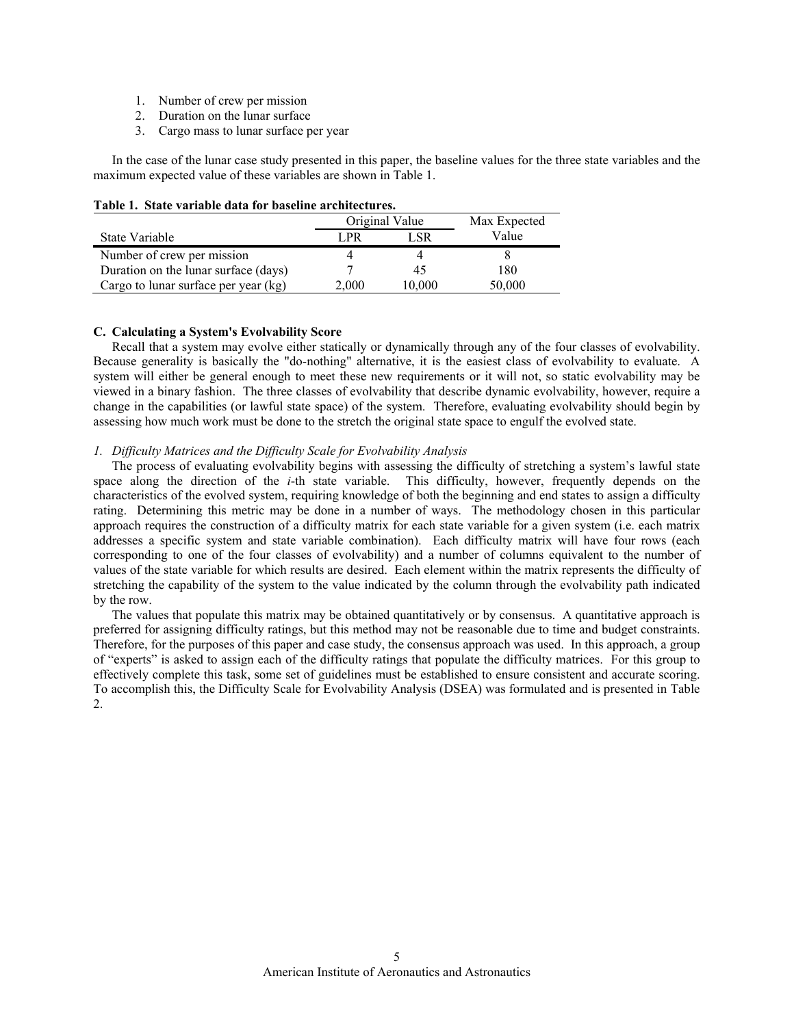- 1. Number of crew per mission
- 2. Duration on the lunar surface
- 3. Cargo mass to lunar surface per year

 In the case of the lunar case study presented in this paper, the baseline values for the three state variables and the maximum expected value of these variables are shown in Table 1.

|  |  |  |  |  | Table 1. State variable data for baseline architectures. |
|--|--|--|--|--|----------------------------------------------------------|
|--|--|--|--|--|----------------------------------------------------------|

|                                      | Original Value |        | Max Expected |
|--------------------------------------|----------------|--------|--------------|
| State Variable                       | L PR           | ' SR   | Value        |
| Number of crew per mission           |                |        |              |
| Duration on the lunar surface (days) |                | 45     | 180          |
| Cargo to lunar surface per year (kg) | 2.000          | 10.000 | 50,000       |

#### **C. Calculating a System's Evolvability Score**

Recall that a system may evolve either statically or dynamically through any of the four classes of evolvability. Because generality is basically the "do-nothing" alternative, it is the easiest class of evolvability to evaluate. A system will either be general enough to meet these new requirements or it will not, so static evolvability may be viewed in a binary fashion. The three classes of evolvability that describe dynamic evolvability, however, require a change in the capabilities (or lawful state space) of the system. Therefore, evaluating evolvability should begin by assessing how much work must be done to the stretch the original state space to engulf the evolved state.

## *1. Difficulty Matrices and the Difficulty Scale for Evolvability Analysis*

The process of evaluating evolvability begins with assessing the difficulty of stretching a system's lawful state space along the direction of the *i*-th state variable. This difficulty, however, frequently depends on the characteristics of the evolved system, requiring knowledge of both the beginning and end states to assign a difficulty rating. Determining this metric may be done in a number of ways. The methodology chosen in this particular approach requires the construction of a difficulty matrix for each state variable for a given system (i.e. each matrix addresses a specific system and state variable combination). Each difficulty matrix will have four rows (each corresponding to one of the four classes of evolvability) and a number of columns equivalent to the number of values of the state variable for which results are desired. Each element within the matrix represents the difficulty of stretching the capability of the system to the value indicated by the column through the evolvability path indicated by the row.

The values that populate this matrix may be obtained quantitatively or by consensus. A quantitative approach is preferred for assigning difficulty ratings, but this method may not be reasonable due to time and budget constraints. Therefore, for the purposes of this paper and case study, the consensus approach was used. In this approach, a group of "experts" is asked to assign each of the difficulty ratings that populate the difficulty matrices. For this group to effectively complete this task, some set of guidelines must be established to ensure consistent and accurate scoring. To accomplish this, the Difficulty Scale for Evolvability Analysis (DSEA) was formulated and is presented in Table 2.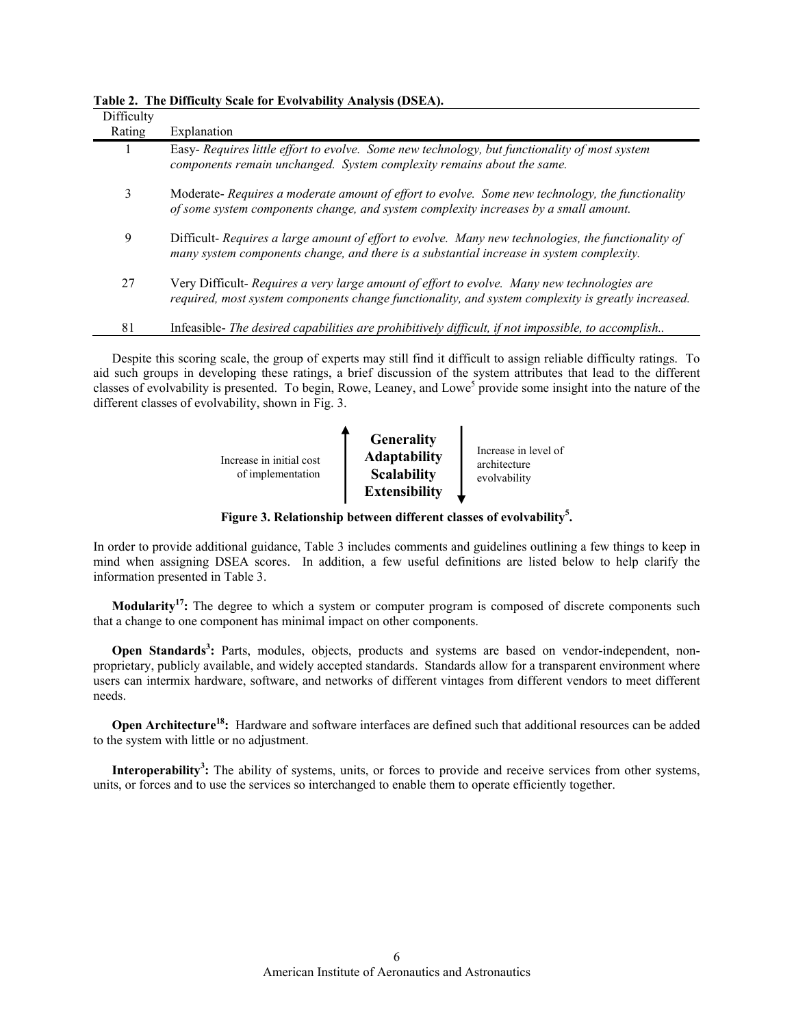| Difficulty<br>Rating | Explanation                                                                                                                                                                                       |
|----------------------|---------------------------------------------------------------------------------------------------------------------------------------------------------------------------------------------------|
|                      | Easy-Requires little effort to evolve. Some new technology, but functionality of most system<br>components remain unchanged. System complexity remains about the same.                            |
| 3                    | Moderate-Requires a moderate amount of effort to evolve. Some new technology, the functionality<br>of some system components change, and system complexity increases by a small amount.           |
| 9                    | Difficult-Requires a large amount of effort to evolve. Many new technologies, the functionality of<br>many system components change, and there is a substantial increase in system complexity.    |
| 27                   | Very Difficult- Requires a very large amount of effort to evolve. Many new technologies are<br>required, most system components change functionality, and system complexity is greatly increased. |
| 81                   | Infeasible- The desired capabilities are prohibitively difficult, if not impossible, to accomplish                                                                                                |

**Table 2. The Difficulty Scale for Evolvability Analysis (DSEA).** 

Despite this scoring scale, the group of experts may still find it difficult to assign reliable difficulty ratings. To aid such groups in developing these ratings, a brief discussion of the system attributes that lead to the different classes of evolvability is presented. To begin, Rowe, Leaney, and Lowe<sup>5</sup> provide some insight into the nature of the different classes of evolvability, shown in Fig. 3.



**Figure 3. Relationship between different classes of evolvability5 .** 

In order to provide additional guidance, Table 3 includes comments and guidelines outlining a few things to keep in mind when assigning DSEA scores. In addition, a few useful definitions are listed below to help clarify the information presented in Table 3.

**Modularity<sup>17</sup>:** The degree to which a system or computer program is composed of discrete components such that a change to one component has minimal impact on other components.

Open Standards<sup>3</sup>: Parts, modules, objects, products and systems are based on vendor-independent, nonproprietary, publicly available, and widely accepted standards. Standards allow for a transparent environment where users can intermix hardware, software, and networks of different vintages from different vendors to meet different needs.

**Open Architecture<sup>18</sup>:** Hardware and software interfaces are defined such that additional resources can be added to the system with little or no adjustment.

**Interoperability<sup>3</sup>**: The ability of systems, units, or forces to provide and receive services from other systems, units, or forces and to use the services so interchanged to enable them to operate efficiently together.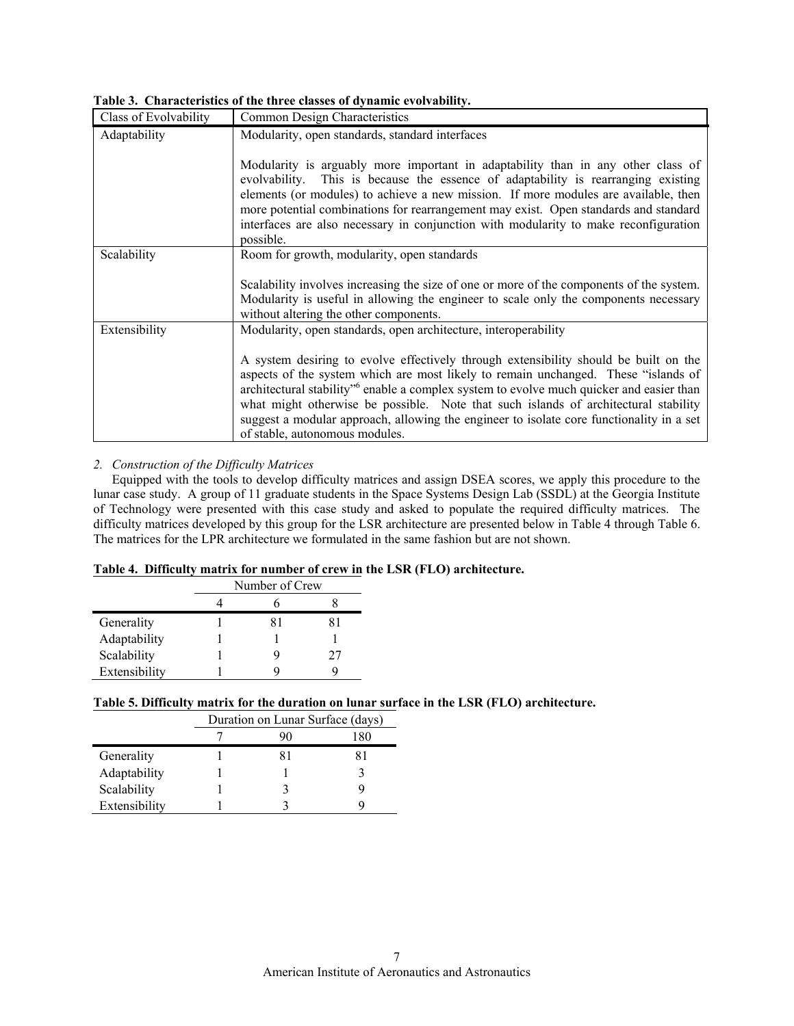|  |  | Table 3. Characteristics of the three classes of dynamic evolvability. |
|--|--|------------------------------------------------------------------------|
|  |  |                                                                        |

| Class of Evolvability | Common Design Characteristics                                                                                                                                                                                                                                                                                                                                                                                                                                                                           |
|-----------------------|---------------------------------------------------------------------------------------------------------------------------------------------------------------------------------------------------------------------------------------------------------------------------------------------------------------------------------------------------------------------------------------------------------------------------------------------------------------------------------------------------------|
| Adaptability          | Modularity, open standards, standard interfaces                                                                                                                                                                                                                                                                                                                                                                                                                                                         |
|                       | Modularity is arguably more important in adaptability than in any other class of<br>evolvability. This is because the essence of adaptability is rearranging existing<br>elements (or modules) to achieve a new mission. If more modules are available, then<br>more potential combinations for rearrangement may exist. Open standards and standard<br>interfaces are also necessary in conjunction with modularity to make reconfiguration<br>possible.                                               |
| Scalability           | Room for growth, modularity, open standards                                                                                                                                                                                                                                                                                                                                                                                                                                                             |
|                       | Scalability involves increasing the size of one or more of the components of the system.<br>Modularity is useful in allowing the engineer to scale only the components necessary<br>without altering the other components.                                                                                                                                                                                                                                                                              |
| Extensibility         | Modularity, open standards, open architecture, interoperability                                                                                                                                                                                                                                                                                                                                                                                                                                         |
|                       | A system desiring to evolve effectively through extensibility should be built on the<br>aspects of the system which are most likely to remain unchanged. These "islands of<br>architectural stability <sup>56</sup> enable a complex system to evolve much quicker and easier than<br>what might otherwise be possible. Note that such islands of architectural stability<br>suggest a modular approach, allowing the engineer to isolate core functionality in a set<br>of stable, autonomous modules. |

# *2. Construction of the Difficulty Matrices*

Equipped with the tools to develop difficulty matrices and assign DSEA scores, we apply this procedure to the lunar case study. A group of 11 graduate students in the Space Systems Design Lab (SSDL) at the Georgia Institute of Technology were presented with this case study and asked to populate the required difficulty matrices. The difficulty matrices developed by this group for the LSR architecture are presented below in Table 4 through Table 6. The matrices for the LPR architecture we formulated in the same fashion but are not shown.

| Table 4. Difficulty matrix for number of crew in the LSR (FLO) architecture. |  |
|------------------------------------------------------------------------------|--|
|                                                                              |  |

|               | Number of Crew |    |  |
|---------------|----------------|----|--|
|               |                |    |  |
| Generality    | 81             | x١ |  |
| Adaptability  |                |    |  |
| Scalability   |                | 27 |  |
| Extensibility |                |    |  |

# **Table 5. Difficulty matrix for the duration on lunar surface in the LSR (FLO) architecture.**

|               | Duration on Lunar Surface (days) |  |  |  |
|---------------|----------------------------------|--|--|--|
|               |                                  |  |  |  |
| Generality    |                                  |  |  |  |
| Adaptability  |                                  |  |  |  |
| Scalability   |                                  |  |  |  |
| Extensibility |                                  |  |  |  |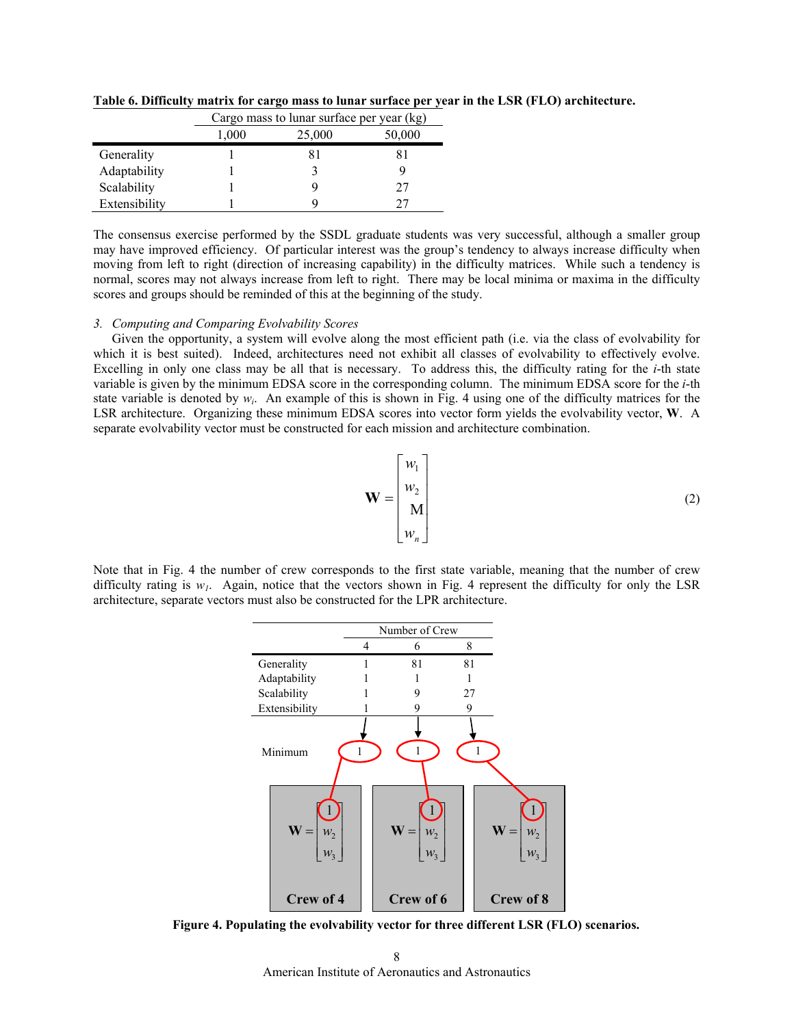|               | Cargo mass to lunar surface per year (kg) |        |        |  |
|---------------|-------------------------------------------|--------|--------|--|
|               | 1.000                                     | 25,000 | 50,000 |  |
| Generality    |                                           |        |        |  |
| Adaptability  |                                           |        |        |  |
| Scalability   |                                           |        | 27     |  |
| Extensibility |                                           |        |        |  |

**Table 6. Difficulty matrix for cargo mass to lunar surface per year in the LSR (FLO) architecture.** 

The consensus exercise performed by the SSDL graduate students was very successful, although a smaller group may have improved efficiency. Of particular interest was the group's tendency to always increase difficulty when moving from left to right (direction of increasing capability) in the difficulty matrices. While such a tendency is normal, scores may not always increase from left to right. There may be local minima or maxima in the difficulty scores and groups should be reminded of this at the beginning of the study.

## *3. Computing and Comparing Evolvability Scores*

Given the opportunity, a system will evolve along the most efficient path (i.e. via the class of evolvability for which it is best suited). Indeed, architectures need not exhibit all classes of evolvability to effectively evolve. Excelling in only one class may be all that is necessary. To address this, the difficulty rating for the *i*-th state variable is given by the minimum EDSA score in the corresponding column. The minimum EDSA score for the *i*-th state variable is denoted by  $w_i$ . An example of this is shown in Fig. 4 using one of the difficulty matrices for the LSR architecture. Organizing these minimum EDSA scores into vector form yields the evolvability vector, **W**. A separate evolvability vector must be constructed for each mission and architecture combination.

$$
\mathbf{W} = \begin{bmatrix} w_1 \\ w_2 \\ \mathbf{M} \\ w_n \end{bmatrix}
$$
 (2)

Note that in Fig. 4 the number of crew corresponds to the first state variable, meaning that the number of crew difficulty rating is  $w_l$ . Again, notice that the vectors shown in Fig. 4 represent the difficulty for only the LSR architecture, separate vectors must also be constructed for the LPR architecture.

|                                                                  | Number of Crew                      |    |                                    |
|------------------------------------------------------------------|-------------------------------------|----|------------------------------------|
| 4                                                                | 6                                   | 8  |                                    |
| Generality                                                       | 81                                  | 81 |                                    |
| Adaptability                                                     |                                     |    |                                    |
| Scalability                                                      | 9                                   | 27 |                                    |
| Extensibility                                                    | 9                                   | 9  |                                    |
| Minimum<br>1                                                     | 1                                   |    | $\mathbf{1}$                       |
| $\mathbf{W} = \begin{bmatrix} w_2 \\ w_3 \end{bmatrix}$<br>$W_3$ | $W =$<br>$\vert w_2 \vert$<br>$W_3$ |    | $\mathbf{1}$<br>$W = w_2$<br>$W_3$ |
| Crew of 4                                                        | Crew of 6                           |    | Crew of 8                          |

**Figure 4. Populating the evolvability vector for three different LSR (FLO) scenarios.**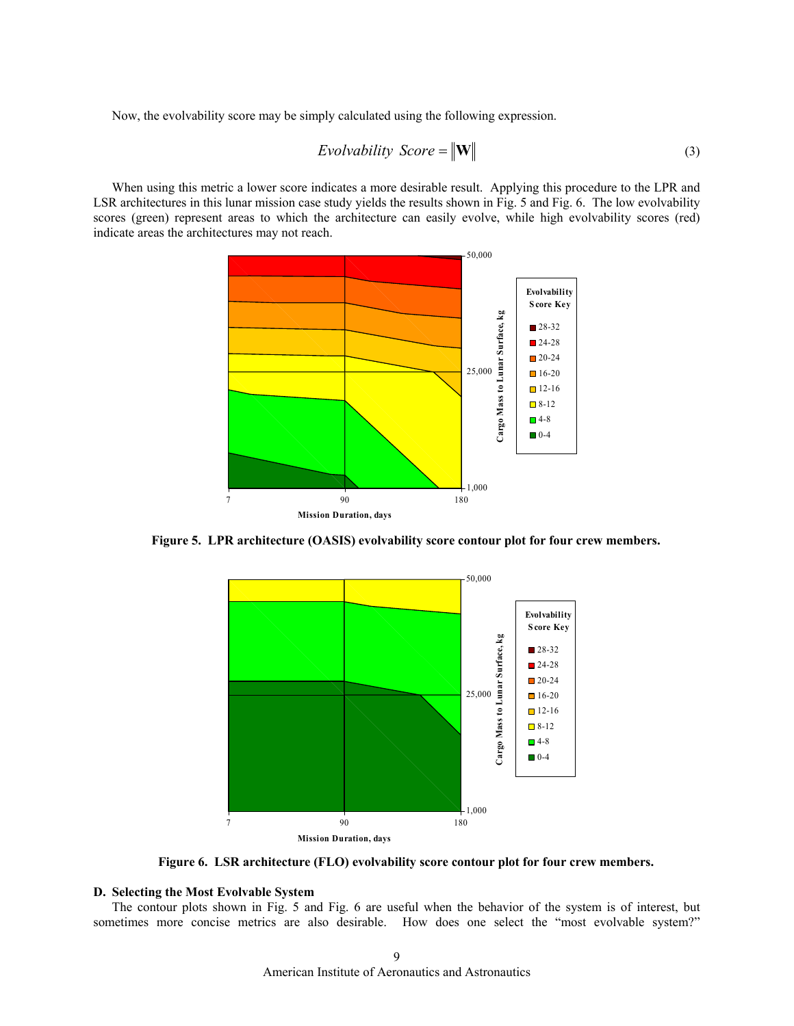Now, the evolvability score may be simply calculated using the following expression.

$$
Evolvability \ Score = \|\mathbf{W}\| \tag{3}
$$

When using this metric a lower score indicates a more desirable result. Applying this procedure to the LPR and LSR architectures in this lunar mission case study yields the results shown in Fig. 5 and Fig. 6. The low evolvability scores (green) represent areas to which the architecture can easily evolve, while high evolvability scores (red) indicate areas the architectures may not reach.



**Figure 5. LPR architecture (OASIS) evolvability score contour plot for four crew members.** 



**Figure 6. LSR architecture (FLO) evolvability score contour plot for four crew members.** 

#### **D. Selecting the Most Evolvable System**

The contour plots shown in Fig. 5 and Fig. 6 are useful when the behavior of the system is of interest, but sometimes more concise metrics are also desirable. How does one select the "most evolvable system?"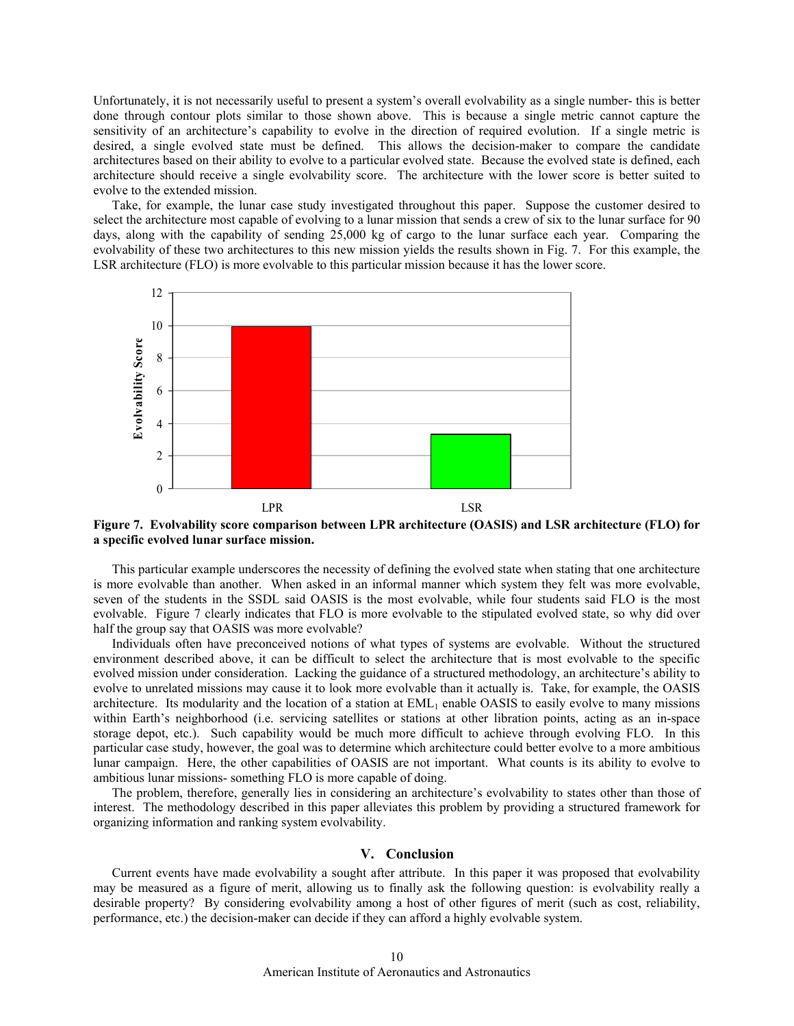Unfortunately, it is not necessarily useful to present a system's overall evolvability as a single number- this is better done through contour plots similar to those shown above. This is because a single metric cannot capture the sensitivity of an architecture's capability to evolve in the direction of required evolution. If a single metric is desired, a single evolved state must be defined. This allows the decision-maker to compare the candidate architectures based on their ability to evolve to a particular evolved state. Because the evolved state is defined, each architecture should receive a single evolvability score. The architecture with the lower score is better suited to evolve to the extended mission.

Take, for example, the lunar case study investigated throughout this paper. Suppose the customer desired to select the architecture most capable of evolving to a lunar mission that sends a crew of six to the lunar surface for 90 days, along with the capability of sending 25,000 kg of cargo to the lunar surface each year. Comparing the evolvability of these two architectures to this new mission yields the results shown in Fig. 7. For this example, the LSR architecture (FLO) is more evolvable to this particular mission because it has the lower score.



**Figure 7. Evolvability score comparison between LPR architecture (OASIS) and LSR architecture (FLO) for a specific evolved lunar surface mission.** 

This particular example underscores the necessity of defining the evolved state when stating that one architecture is more evolvable than another. When asked in an informal manner which system they felt was more evolvable, seven of the students in the SSDL said OASIS is the most evolvable, while four students said FLO is the most evolvable. Figure 7 clearly indicates that FLO is more evolvable to the stipulated evolved state, so why did over half the group say that OASIS was more evolvable?

Individuals often have preconceived notions of what types of systems are evolvable. Without the structured environment described above, it can be difficult to select the architecture that is most evolvable to the specific evolved mission under consideration. Lacking the guidance of a structured methodology, an architecture's ability to evolve to unrelated missions may cause it to look more evolvable than it actually is. Take, for example, the OASIS architecture. Its modularity and the location of a station at  $EML_1$  enable OASIS to easily evolve to many missions within Earth's neighborhood (i.e. servicing satellites or stations at other libration points, acting as an in-space storage depot, etc.). Such capability would be much more difficult to achieve through evolving FLO. In this particular case study, however, the goal was to determine which architecture could better evolve to a more ambitious lunar campaign. Here, the other capabilities of OASIS are not important. What counts is its ability to evolve to ambitious lunar missions- something FLO is more capable of doing.

The problem, therefore, generally lies in considering an architecture's evolvability to states other than those of interest. The methodology described in this paper alleviates this problem by providing a structured framework for organizing information and ranking system evolvability.

# **V. Conclusion**

Current events have made evolvability a sought after attribute. In this paper it was proposed that evolvability may be measured as a figure of merit, allowing us to finally ask the following question: is evolvability really a desirable property? By considering evolvability among a host of other figures of merit (such as cost, reliability, performance, etc.) the decision-maker can decide if they can afford a highly evolvable system.